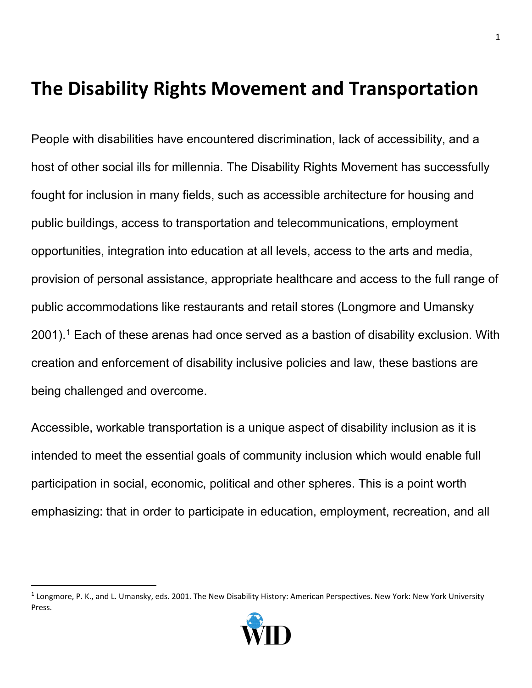## **The Disability Rights Movement and Transportation**

People with disabilities have encountered discrimination, lack of accessibility, and a host of other social ills for millennia. The Disability Rights Movement has successfully fought for inclusion in many fields, such as accessible architecture for housing and public buildings, access to transportation and telecommunications, employment opportunities, integration into education at all levels, access to the arts and media, provision of personal assistance, appropriate healthcare and access to the full range of public accommodations like restaurants and retail stores (Longmore and Umansky  $2001$  $2001$ .<sup>1</sup> Each of these arenas had once served as a bastion of disability exclusion. With creation and enforcement of disability inclusive policies and law, these bastions are being challenged and overcome.

Accessible, workable transportation is a unique aspect of disability inclusion as it is intended to meet the essential goals of community inclusion which would enable full participation in social, economic, political and other spheres. This is a point worth emphasizing: that in order to participate in education, employment, recreation, and all

<span id="page-0-0"></span><sup>&</sup>lt;sup>1</sup> Longmore, P. K., and L. Umansky, eds. 2001. The New Disability History: American Perspectives. New York: New York University Press.

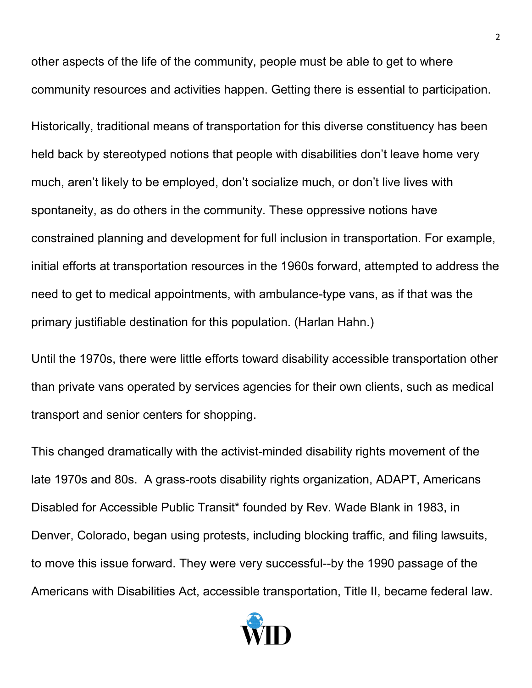other aspects of the life of the community, people must be able to get to where community resources and activities happen. Getting there is essential to participation. Historically, traditional means of transportation for this diverse constituency has been held back by stereotyped notions that people with disabilities don't leave home very much, aren't likely to be employed, don't socialize much, or don't live lives with spontaneity, as do others in the community. These oppressive notions have constrained planning and development for full inclusion in transportation. For example, initial efforts at transportation resources in the 1960s forward, attempted to address the need to get to medical appointments, with ambulance-type vans, as if that was the primary justifiable destination for this population. (Harlan Hahn.)

Until the 1970s, there were little efforts toward disability accessible transportation other than private vans operated by services agencies for their own clients, such as medical transport and senior centers for shopping.

This changed dramatically with the activist-minded disability rights movement of the late 1970s and 80s. A grass-roots disability rights organization, ADAPT, Americans Disabled for Accessible Public Transit\* founded by Rev. Wade Blank in 1983, in Denver, Colorado, began using protests, including blocking traffic, and filing lawsuits, to move this issue forward. They were very successful--by the 1990 passage of the Americans with Disabilities Act, accessible transportation, Title II, became federal law.

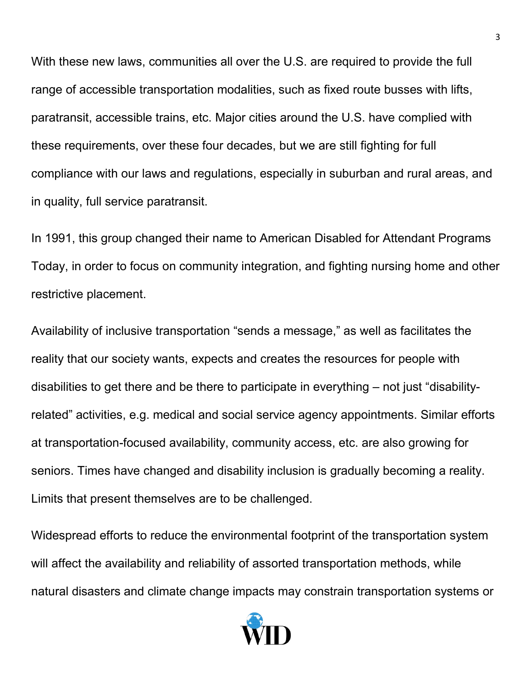With these new laws, communities all over the U.S. are required to provide the full range of accessible transportation modalities, such as fixed route busses with lifts, paratransit, accessible trains, etc. Major cities around the U.S. have complied with these requirements, over these four decades, but we are still fighting for full compliance with our laws and regulations, especially in suburban and rural areas, and in quality, full service paratransit.

In 1991, this group changed their name to American Disabled for Attendant Programs Today, in order to focus on community integration, and fighting nursing home and other restrictive placement.

Availability of inclusive transportation "sends a message," as well as facilitates the reality that our society wants, expects and creates the resources for people with disabilities to get there and be there to participate in everything – not just "disabilityrelated" activities, e.g. medical and social service agency appointments. Similar efforts at transportation-focused availability, community access, etc. are also growing for seniors. Times have changed and disability inclusion is gradually becoming a reality. Limits that present themselves are to be challenged.

Widespread efforts to reduce the environmental footprint of the transportation system will affect the availability and reliability of assorted transportation methods, while natural disasters and climate change impacts may constrain transportation systems or

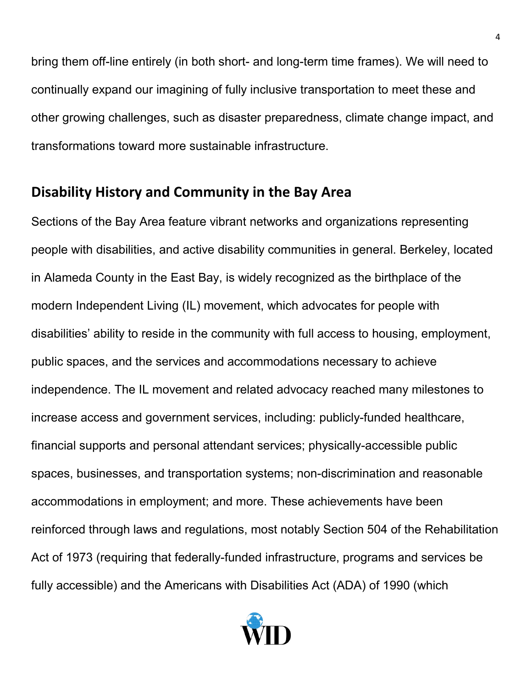bring them off-line entirely (in both short- and long-term time frames). We will need to continually expand our imagining of fully inclusive transportation to meet these and other growing challenges, such as disaster preparedness, climate change impact, and transformations toward more sustainable infrastructure.

## **Disability History and Community in the Bay Area**

Sections of the Bay Area feature vibrant networks and organizations representing people with disabilities, and active disability communities in general. Berkeley, located in Alameda County in the East Bay, is widely recognized as the birthplace of the modern Independent Living (IL) movement, which advocates for people with disabilities' ability to reside in the community with full access to housing, employment, public spaces, and the services and accommodations necessary to achieve independence. The IL movement and related advocacy reached many milestones to increase access and government services, including: publicly-funded healthcare, financial supports and personal attendant services; physically-accessible public spaces, businesses, and transportation systems; non-discrimination and reasonable accommodations in employment; and more. These achievements have been reinforced through laws and regulations, most notably Section 504 of the Rehabilitation Act of 1973 (requiring that federally-funded infrastructure, programs and services be fully accessible) and the Americans with Disabilities Act (ADA) of 1990 (which

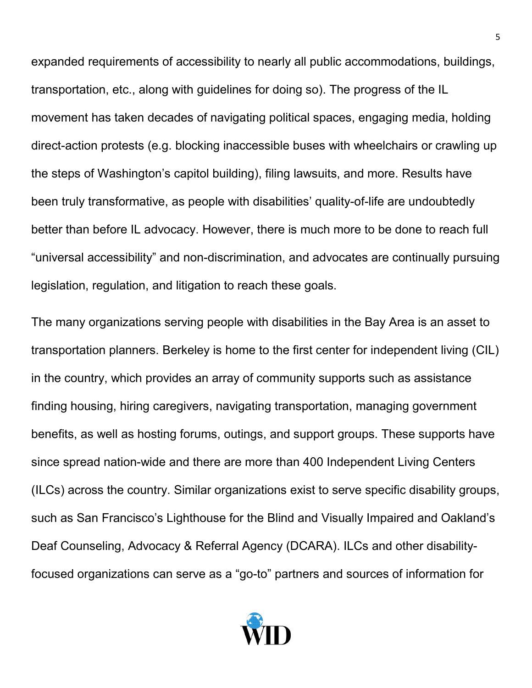expanded requirements of accessibility to nearly all public accommodations, buildings, transportation, etc., along with guidelines for doing so). The progress of the IL movement has taken decades of navigating political spaces, engaging media, holding direct-action protests (e.g. blocking inaccessible buses with wheelchairs or crawling up the steps of Washington's capitol building), filing lawsuits, and more. Results have been truly transformative, as people with disabilities' quality-of-life are undoubtedly better than before IL advocacy. However, there is much more to be done to reach full "universal accessibility" and non-discrimination, and advocates are continually pursuing legislation, regulation, and litigation to reach these goals.

The many organizations serving people with disabilities in the Bay Area is an asset to transportation planners. Berkeley is home to the first center for independent living (CIL) in the country, which provides an array of community supports such as assistance finding housing, hiring caregivers, navigating transportation, managing government benefits, as well as hosting forums, outings, and support groups. These supports have since spread nation-wide and there are more than 400 Independent Living Centers (ILCs) across the country. Similar organizations exist to serve specific disability groups, such as San Francisco's Lighthouse for the Blind and Visually Impaired and Oakland's Deaf Counseling, Advocacy & Referral Agency (DCARA). ILCs and other disabilityfocused organizations can serve as a "go-to" partners and sources of information for